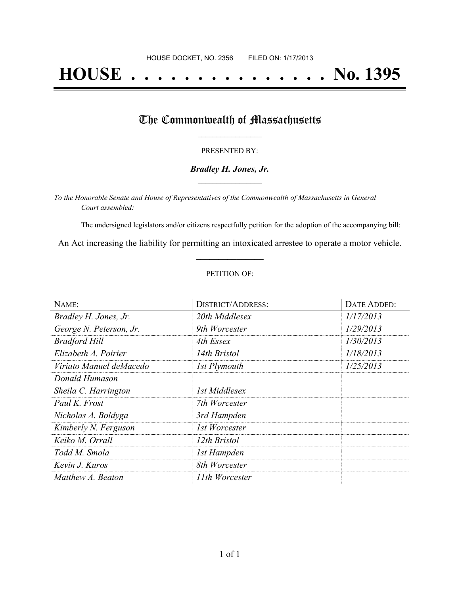# **HOUSE . . . . . . . . . . . . . . . No. 1395**

## The Commonwealth of Massachusetts

#### PRESENTED BY:

#### *Bradley H. Jones, Jr.* **\_\_\_\_\_\_\_\_\_\_\_\_\_\_\_\_\_**

*To the Honorable Senate and House of Representatives of the Commonwealth of Massachusetts in General Court assembled:*

The undersigned legislators and/or citizens respectfully petition for the adoption of the accompanying bill:

An Act increasing the liability for permitting an intoxicated arrestee to operate a motor vehicle. **\_\_\_\_\_\_\_\_\_\_\_\_\_\_\_**

#### PETITION OF:

| NAME:                   | <b>DISTRICT/ADDRESS:</b> | DATE ADDED: |
|-------------------------|--------------------------|-------------|
| Bradley H. Jones, Jr.   | 20th Middlesex           | 1/17/2013   |
| George N. Peterson, Jr. | 9th Worcester            | 1/29/2013   |
| <b>Bradford Hill</b>    | 4th Essex                | 1/30/2013   |
| Elizabeth A. Poirier    | 14th Bristol             | 1/18/2013   |
| Viriato Manuel deMacedo | 1st Plymouth             | 1/25/2013   |
| Donald Humason          |                          |             |
| Sheila C. Harrington    | 1st Middlesex            |             |
| Paul K. Frost           | 7th Worcester            |             |
| Nicholas A. Boldyga     | 3rd Hampden              |             |
| Kimberly N. Ferguson    | 1st Worcester            |             |
| Keiko M. Orrall         | 12th Bristol             |             |
| Todd M. Smola           | 1st Hampden              |             |
| Kevin J. Kuros          | 8th Worcester            |             |
| Matthew A. Beaton       | 11th Worcester           |             |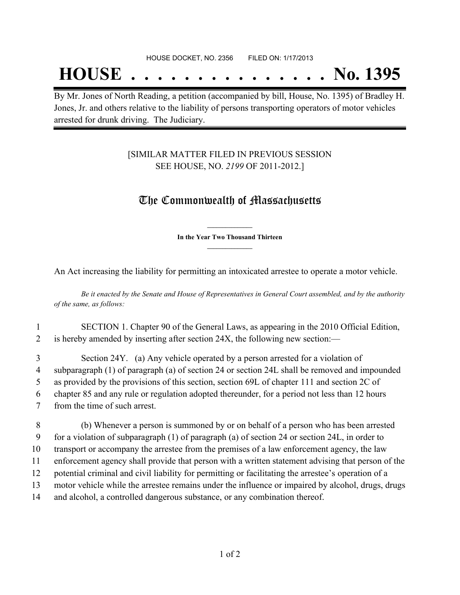## **HOUSE . . . . . . . . . . . . . . . No. 1395**

By Mr. Jones of North Reading, a petition (accompanied by bill, House, No. 1395) of Bradley H. Jones, Jr. and others relative to the liability of persons transporting operators of motor vehicles arrested for drunk driving. The Judiciary.

## [SIMILAR MATTER FILED IN PREVIOUS SESSION SEE HOUSE, NO. *2199* OF 2011-2012.]

## The Commonwealth of Massachusetts

**\_\_\_\_\_\_\_\_\_\_\_\_\_\_\_ In the Year Two Thousand Thirteen \_\_\_\_\_\_\_\_\_\_\_\_\_\_\_**

An Act increasing the liability for permitting an intoxicated arrestee to operate a motor vehicle.

Be it enacted by the Senate and House of Representatives in General Court assembled, and by the authority *of the same, as follows:*

## 1 SECTION 1. Chapter 90 of the General Laws, as appearing in the 2010 Official Edition, 2 is hereby amended by inserting after section 24X, the following new section:—

 Section 24Y. (a) Any vehicle operated by a person arrested for a violation of subparagraph (1) of paragraph (a) of section 24 or section 24L shall be removed and impounded as provided by the provisions of this section, section 69L of chapter 111 and section 2C of chapter 85 and any rule or regulation adopted thereunder, for a period not less than 12 hours from the time of such arrest.

 (b) Whenever a person is summoned by or on behalf of a person who has been arrested for a violation of subparagraph (1) of paragraph (a) of section 24 or section 24L, in order to transport or accompany the arrestee from the premises of a law enforcement agency, the law enforcement agency shall provide that person with a written statement advising that person of the potential criminal and civil liability for permitting or facilitating the arrestee's operation of a motor vehicle while the arrestee remains under the influence or impaired by alcohol, drugs, drugs and alcohol, a controlled dangerous substance, or any combination thereof.